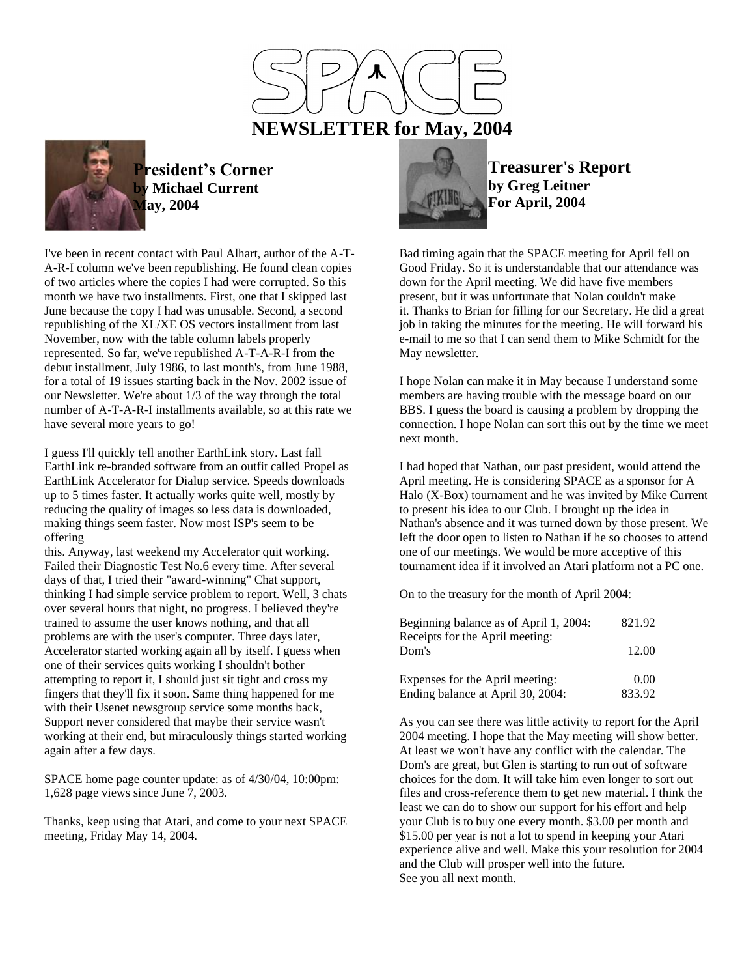



**President's Corner by Michael Current May, 2004**

I've been in recent contact with Paul Alhart, author of the A-T-A-R-I column we've been republishing. He found clean copies of two articles where the copies I had were corrupted. So this month we have two installments. First, one that I skipped last June because the copy I had was unusable. Second, a second republishing of the XL/XE OS vectors installment from last November, now with the table column labels properly represented. So far, we've republished A-T-A-R-I from the debut installment, July 1986, to last month's, from June 1988, for a total of 19 issues starting back in the Nov. 2002 issue of our Newsletter. We're about 1/3 of the way through the total number of A-T-A-R-I installments available, so at this rate we have several more years to go!

I guess I'll quickly tell another EarthLink story. Last fall EarthLink re-branded software from an outfit called Propel as EarthLink Accelerator for Dialup service. Speeds downloads up to 5 times faster. It actually works quite well, mostly by reducing the quality of images so less data is downloaded, making things seem faster. Now most ISP's seem to be offering

this. Anyway, last weekend my Accelerator quit working. Failed their Diagnostic Test No.6 every time. After several days of that, I tried their "award-winning" Chat support, thinking I had simple service problem to report. Well, 3 chats over several hours that night, no progress. I believed they're trained to assume the user knows nothing, and that all problems are with the user's computer. Three days later, Accelerator started working again all by itself. I guess when one of their services quits working I shouldn't bother attempting to report it, I should just sit tight and cross my fingers that they'll fix it soon. Same thing happened for me with their Usenet newsgroup service some months back, Support never considered that maybe their service wasn't working at their end, but miraculously things started working again after a few days.

SPACE home page counter update: as of 4/30/04, 10:00pm: 1,628 page views since June 7, 2003.

Thanks, keep using that Atari, and come to your next SPACE meeting, Friday May 14, 2004.



**Treasurer's Report by Greg Leitner For April, 2004**

Bad timing again that the SPACE meeting for April fell on Good Friday. So it is understandable that our attendance was down for the April meeting. We did have five members present, but it was unfortunate that Nolan couldn't make it. Thanks to Brian for filling for our Secretary. He did a great job in taking the minutes for the meeting. He will forward his e-mail to me so that I can send them to Mike Schmidt for the May newsletter.

I hope Nolan can make it in May because I understand some members are having trouble with the message board on our BBS. I guess the board is causing a problem by dropping the connection. I hope Nolan can sort this out by the time we meet next month.

I had hoped that Nathan, our past president, would attend the April meeting. He is considering SPACE as a sponsor for A Halo (X-Box) tournament and he was invited by Mike Current to present his idea to our Club. I brought up the idea in Nathan's absence and it was turned down by those present. We left the door open to listen to Nathan if he so chooses to attend one of our meetings. We would be more acceptive of this tournament idea if it involved an Atari platform not a PC one.

On to the treasury for the month of April 2004:

| Beginning balance as of April 1, 2004:<br>Receipts for the April meeting: | 821.92         |
|---------------------------------------------------------------------------|----------------|
| Dom's                                                                     | 12.00          |
| Expenses for the April meeting:<br>Ending balance at April 30, 2004:      | 0.00<br>833.92 |

As you can see there was little activity to report for the April 2004 meeting. I hope that the May meeting will show better. At least we won't have any conflict with the calendar. The Dom's are great, but Glen is starting to run out of software choices for the dom. It will take him even longer to sort out files and cross-reference them to get new material. I think the least we can do to show our support for his effort and help your Club is to buy one every month. \$3.00 per month and \$15.00 per year is not a lot to spend in keeping your Atari experience alive and well. Make this your resolution for 2004 and the Club will prosper well into the future. See you all next month.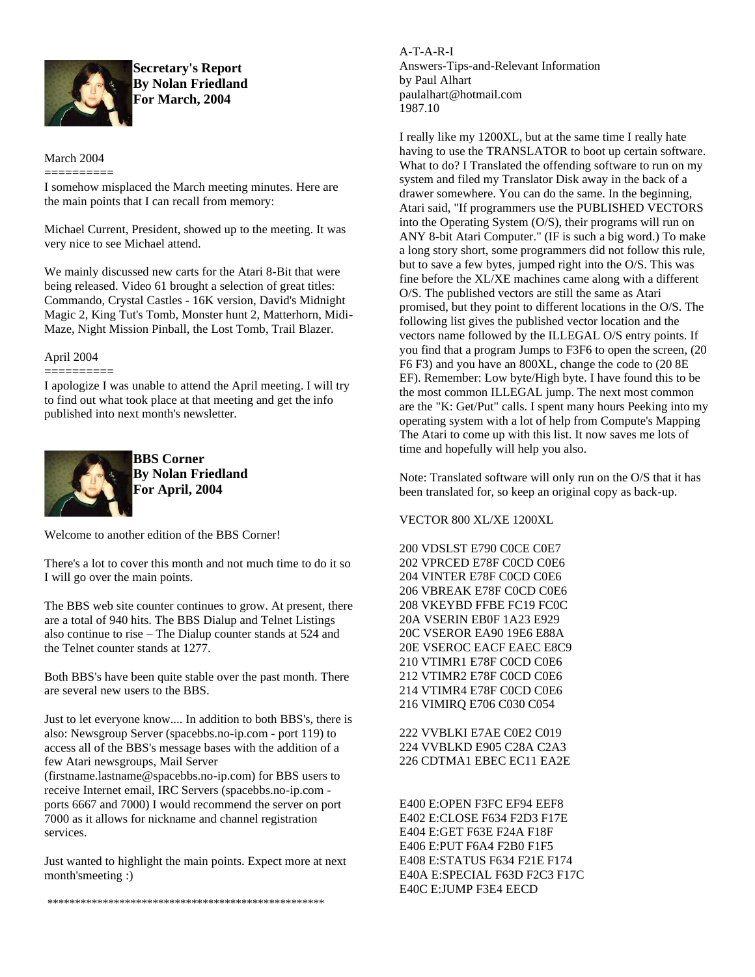

**Secretary's Report By Nolan Friedland For March, 2004**

# March 2004 ==========

I somehow misplaced the March meeting minutes. Here are the main points that I can recall from memory:

Michael Current, President, showed up to the meeting. It was very nice to see Michael attend.

We mainly discussed new carts for the Atari 8-Bit that were being released. Video 61 brought a selection of great titles: Commando, Crystal Castles - 16K version, David's Midnight Magic 2, King Tut's Tomb, Monster hunt 2, Matterhorn, Midi-Maze, Night Mission Pinball, the Lost Tomb, Trail Blazer.

## April 2004

==========

I apologize I was unable to attend the April meeting. I will try to find out what took place at that meeting and get the info published into next month's newsletter.



**BBS Corner By Nolan Friedland For April, 2004**

Welcome to another edition of the BBS Corner!

There's a lot to cover this month and not much time to do it so I will go over the main points.

The BBS web site counter continues to grow. At present, there are a total of 940 hits. The BBS Dialup and Telnet Listings also continue to rise – The Dialup counter stands at 524 and the Telnet counter stands at 1277.

Both BBS's have been quite stable over the past month. There are several new users to the BBS.

Just to let everyone know.... In addition to both BBS's, there is also: Newsgroup Server (spacebbs.no-ip.com - port 119) to access all of the BBS's message bases with the addition of a few Atari newsgroups, Mail Server

(firstname.lastname@spacebbs.no-ip.com) for BBS users to receive Internet email, IRC Servers (spacebbs.no-ip.com ports 6667 and 7000) I would recommend the server on port 7000 as it allows for nickname and channel registration services.

Just wanted to highlight the main points. Expect more at next month'smeeting :)

A-T-A-R-I Answers-Tips-and-Relevant Information by Paul Alhart paulalhart@hotmail.com 1987.10

I really like my 1200XL, but at the same time I really hate having to use the TRANSLATOR to boot up certain software. What to do? I Translated the offending software to run on my system and filed my Translator Disk away in the back of a drawer somewhere. You can do the same. In the beginning, Atari said, "If programmers use the PUBLISHED VECTORS into the Operating System (O/S), their programs will run on ANY 8-bit Atari Computer." (IF is such a big word.) To make a long story short, some programmers did not follow this rule, but to save a few bytes, jumped right into the O/S. This was fine before the XL/XE machines came along with a different O/S. The published vectors are still the same as Atari promised, but they point to different locations in the O/S. The following list gives the published vector location and the vectors name followed by the ILLEGAL O/S entry points. If you find that a program Jumps to F3F6 to open the screen, (20 F6 F3) and you have an 800XL, change the code to (20 8E EF). Remember: Low byte/High byte. I have found this to be the most common ILLEGAL jump. The next most common are the "K: Get/Put" calls. I spent many hours Peeking into my operating system with a lot of help from Compute's Mapping The Atari to come up with this list. It now saves me lots of time and hopefully will help you also.

Note: Translated software will only run on the O/S that it has been translated for, so keep an original copy as back-up.

VECTOR 800 XL/XE 1200XL

200 VDSLST E790 C0CE C0E7 202 VPRCED E78F C0CD C0E6 204 VINTER E78F C0CD C0E6 206 VBREAK E78F C0CD C0E6 208 VKEYBD FFBE FC19 FC0C 20A VSERIN EB0F 1A23 E929 20C VSEROR EA90 19E6 E88A 20E VSEROC EACF EAEC E8C9 210 VTIMR1 E78F C0CD C0E6 212 VTIMR2 E78F C0CD C0E6 214 VTIMR4 E78F C0CD C0E6 216 VIMIRQ E706 C030 C054

222 VVBLKI E7AE C0E2 C019 224 VVBLKD E905 C28A C2A3 226 CDTMA1 EBEC EC11 EA2E

E400 E:OPEN F3FC EF94 EEF8 E402 E:CLOSE F634 F2D3 F17E E404 E:GET F63E F24A F18F E406 E:PUT F6A4 F2B0 F1F5 E408 E:STATUS F634 F21E F174 E40A E:SPECIAL F63D F2C3 F17C E40C E:JUMP F3E4 EECD

\*\*\*\*\*\*\*\*\*\*\*\*\*\*\*\*\*\*\*\*\*\*\*\*\*\*\*\*\*\*\*\*\*\*\*\*\*\*\*\*\*\*\*\*\*\*\*\*\*\*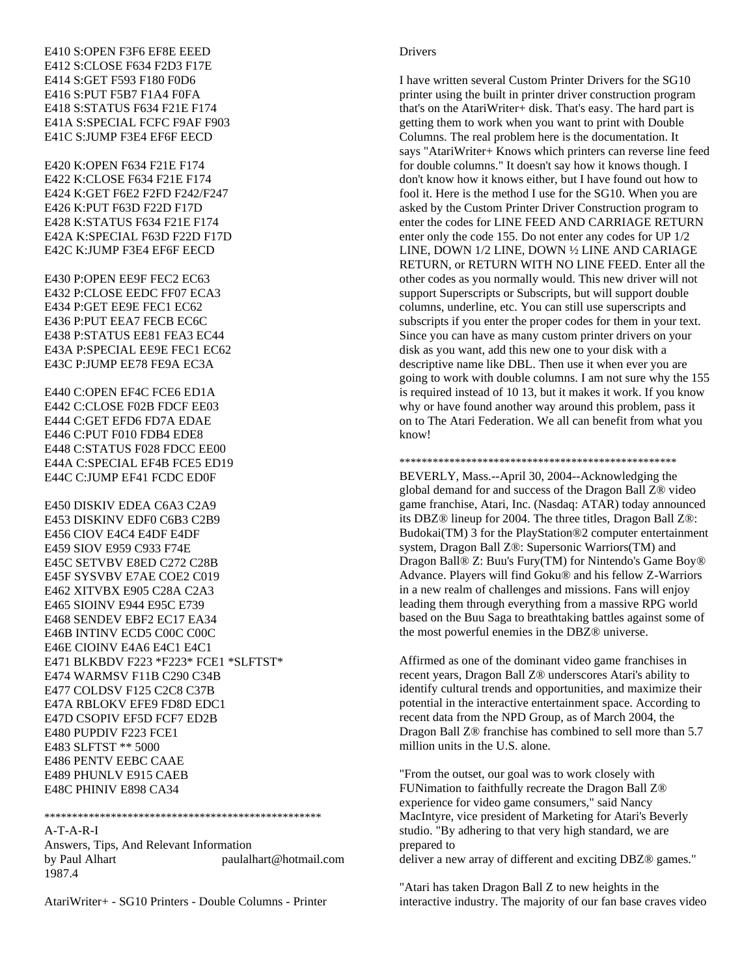E410 S:OPEN F3F6 EF8E EEED E412 S:CLOSE F634 F2D3 F17E E414 S:GET F593 F180 F0D6 E416 S:PUT F5B7 F1A4 F0FA E418 S:STATUS F634 F21E F174 E41A S:SPECIAL FCFC F9AF F903 E41C S:JUMP F3E4 EF6F EECD

E420 K:OPEN F634 F21E F174 E422 K:CLOSE F634 F21E F174 E424 K:GET F6E2 F2FD F242/F247 E426 K:PUT F63D F22D F17D E428 K:STATUS F634 F21E F174 E42A K:SPECIAL F63D F22D F17D E42C K:JUMP F3E4 EF6F EECD

E430 P:OPEN EE9F FEC2 EC63 E432 P:CLOSE EEDC FF07 ECA3 E434 P:GET EE9E FEC1 EC62 E436 P:PUT EEA7 FECB EC6C E438 P:STATUS EE81 FEA3 EC44 E43A P:SPECIAL EE9E FEC1 EC62 E43C P:JUMP EE78 FE9A EC3A

E440 C:OPEN EF4C FCE6 ED1A E442 C:CLOSE F02B FDCF EE03 E444 C:GET EFD6 FD7A EDAE E446 C:PUT F010 FDB4 EDE8 E448 C:STATUS F028 FDCC EE00 E44A C:SPECIAL EF4B FCE5 ED19 E44C C:JUMP EF41 FCDC ED0F

E450 DISKIV EDEA C6A3 C2A9 E453 DISKINV EDF0 C6B3 C2B9 E456 CIOV E4C4 E4DF E4DF E459 SIOV E959 C933 F74E E45C SETVBV E8ED C272 C28B E45F SYSVBV E7AE COE2 C019 E462 XITVBX E905 C28A C2A3 E465 SIOINV E944 E95C E739 E468 SENDEV EBF2 EC17 EA34 E46B INTINV ECD5 C00C C00C E46E CIOINV E4A6 E4C1 E4C1 E471 BLKBDV F223 \*F223\* FCE1 \*SLFTST\* E474 WARMSV F11B C290 C34B E477 COLDSV F125 C2C8 C37B E47A RBLOKV EFE9 FD8D EDC1 E47D CSOPIV EF5D FCF7 ED2B E480 PUPDIV F223 FCE1 E483 SLFTST \*\* 5000 E486 PENTV EEBC CAAE E489 PHUNLV E915 CAEB E48C PHINIV E898 CA34

\*\*\*\*\*\*\*\*\*\*\*\*\*\*\*\*\*\*\*\*\*\*\*\*\*\*\*\*\*\*\*\*\*\*\*\*\*\*\*\*\*\*\*\*\*\*\*\*\*\*

#### A-T-A-R-I

Answers, Tips, And Relevant Information by Paul Alhart paulalhart@hotmail.com 1987.4

AtariWriter+ - SG10 Printers - Double Columns - Printer

#### Drivers

I have written several Custom Printer Drivers for the SG10 printer using the built in printer driver construction program that's on the AtariWriter+ disk. That's easy. The hard part is getting them to work when you want to print with Double Columns. The real problem here is the documentation. It says "AtariWriter+ Knows which printers can reverse line feed for double columns." It doesn't say how it knows though. I don't know how it knows either, but I have found out how to fool it. Here is the method I use for the SG10. When you are asked by the Custom Printer Driver Construction program to enter the codes for LINE FEED AND CARRIAGE RETURN enter only the code 155. Do not enter any codes for UP 1/2 LINE, DOWN 1/2 LINE, DOWN ½ LINE AND CARIAGE RETURN, or RETURN WITH NO LINE FEED. Enter all the other codes as you normally would. This new driver will not support Superscripts or Subscripts, but will support double columns, underline, etc. You can still use superscripts and subscripts if you enter the proper codes for them in your text. Since you can have as many custom printer drivers on your disk as you want, add this new one to your disk with a descriptive name like DBL. Then use it when ever you are going to work with double columns. I am not sure why the 155 is required instead of 10 13, but it makes it work. If you know why or have found another way around this problem, pass it on to The Atari Federation. We all can benefit from what you know!

\*\*\*\*\*\*\*\*\*\*\*\*\*\*\*\*\*\*\*\*\*\*\*\*\*\*\*\*\*\*\*\*\*\*\*\*\*\*\*\*\*\*\*\*\*\*\*\*\*\*

BEVERLY, Mass.--April 30, 2004--Acknowledging the global demand for and success of the Dragon Ball Z® video game franchise, Atari, Inc. (Nasdaq: ATAR) today announced its DBZ® lineup for 2004. The three titles, Dragon Ball Z®: Budokai(TM) 3 for the PlayStation®2 computer entertainment system, Dragon Ball Z®: Supersonic Warriors(TM) and Dragon Ball® Z: Buu's Fury(TM) for Nintendo's Game Boy® Advance. Players will find Goku® and his fellow Z-Warriors in a new realm of challenges and missions. Fans will enjoy leading them through everything from a massive RPG world based on the Buu Saga to breathtaking battles against some of the most powerful enemies in the DBZ® universe.

Affirmed as one of the dominant video game franchises in recent years, Dragon Ball Z® underscores Atari's ability to identify cultural trends and opportunities, and maximize their potential in the interactive entertainment space. According to recent data from the NPD Group, as of March 2004, the Dragon Ball Z® franchise has combined to sell more than 5.7 million units in the U.S. alone.

"From the outset, our goal was to work closely with FUNimation to faithfully recreate the Dragon Ball Z® experience for video game consumers," said Nancy MacIntyre, vice president of Marketing for Atari's Beverly studio. "By adhering to that very high standard, we are prepared to deliver a new array of different and exciting DBZ® games."

"Atari has taken Dragon Ball Z to new heights in the interactive industry. The majority of our fan base craves video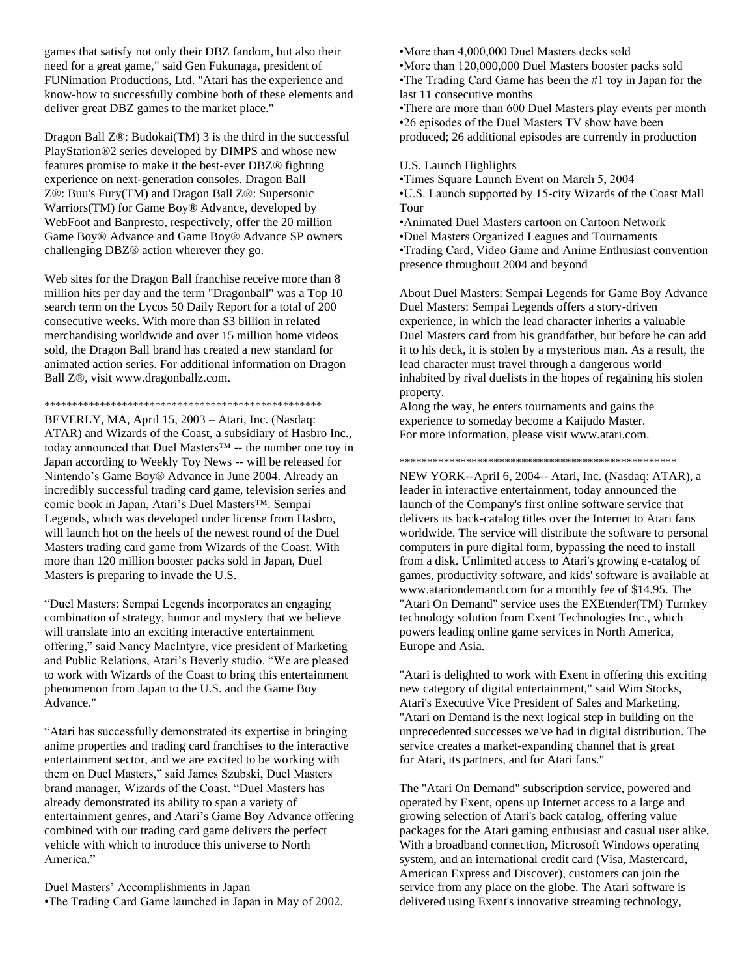games that satisfy not only their DBZ fandom, but also their need for a great game," said Gen Fukunaga, president of FUNimation Productions, Ltd. "Atari has the experience and know-how to successfully combine both of these elements and deliver great DBZ games to the market place."

Dragon Ball Z®: Budokai(TM) 3 is the third in the successful PlayStation®2 series developed by DIMPS and whose new features promise to make it the best-ever DBZ® fighting experience on next-generation consoles. Dragon Ball Z®: Buu's Fury(TM) and Dragon Ball Z®: Supersonic Warriors(TM) for Game Boy® Advance, developed by WebFoot and Banpresto, respectively, offer the 20 million Game Boy® Advance and Game Boy® Advance SP owners challenging DBZ® action wherever they go.

Web sites for the Dragon Ball franchise receive more than 8 million hits per day and the term "Dragonball" was a Top 10 search term on the Lycos 50 Daily Report for a total of 200 consecutive weeks. With more than \$3 billion in related merchandising worldwide and over 15 million home videos sold, the Dragon Ball brand has created a new standard for animated action series. For additional information on Dragon Ball Z®, visit www.dragonballz.com.

### \*\*\*\*\*\*\*\*\*\*\*\*\*\*\*\*\*\*\*\*\*\*\*\*\*\*\*\*\*\*\*\*\*\*\*\*\*\*\*\*\*\*\*\*\*\*\*\*\*\*

BEVERLY, MA, April 15, 2003 – Atari, Inc. (Nasdaq: ATAR) and Wizards of the Coast, a subsidiary of Hasbro Inc., today announced that Duel Masters™ -- the number one toy in Japan according to Weekly Toy News -- will be released for Nintendo's Game Boy® Advance in June 2004. Already an incredibly successful trading card game, television series and comic book in Japan, Atari's Duel Masters™: Sempai Legends, which was developed under license from Hasbro, will launch hot on the heels of the newest round of the Duel Masters trading card game from Wizards of the Coast. With more than 120 million booster packs sold in Japan, Duel Masters is preparing to invade the U.S.

"Duel Masters: Sempai Legends incorporates an engaging combination of strategy, humor and mystery that we believe will translate into an exciting interactive entertainment offering," said Nancy MacIntyre, vice president of Marketing and Public Relations, Atari's Beverly studio. "We are pleased to work with Wizards of the Coast to bring this entertainment phenomenon from Japan to the U.S. and the Game Boy Advance."

"Atari has successfully demonstrated its expertise in bringing anime properties and trading card franchises to the interactive entertainment sector, and we are excited to be working with them on Duel Masters," said James Szubski, Duel Masters brand manager, Wizards of the Coast. "Duel Masters has already demonstrated its ability to span a variety of entertainment genres, and Atari's Game Boy Advance offering combined with our trading card game delivers the perfect vehicle with which to introduce this universe to North America."

Duel Masters' Accomplishments in Japan •The Trading Card Game launched in Japan in May of 2002. •More than 4,000,000 Duel Masters decks sold •More than 120,000,000 Duel Masters booster packs sold •The Trading Card Game has been the #1 toy in Japan for the last 11 consecutive months

•There are more than 600 Duel Masters play events per month •26 episodes of the Duel Masters TV show have been produced; 26 additional episodes are currently in production

#### U.S. Launch Highlights

•Times Square Launch Event on March 5, 2004 •U.S. Launch supported by 15-city Wizards of the Coast Mall Tour

•Animated Duel Masters cartoon on Cartoon Network •Duel Masters Organized Leagues and Tournaments •Trading Card, Video Game and Anime Enthusiast convention presence throughout 2004 and beyond

About Duel Masters: Sempai Legends for Game Boy Advance Duel Masters: Sempai Legends offers a story-driven experience, in which the lead character inherits a valuable Duel Masters card from his grandfather, but before he can add it to his deck, it is stolen by a mysterious man. As a result, the lead character must travel through a dangerous world inhabited by rival duelists in the hopes of regaining his stolen property.

Along the way, he enters tournaments and gains the experience to someday become a Kaijudo Master. For more information, please visit www.atari.com.

### \*\*\*\*\*\*\*\*\*\*\*\*\*\*\*\*\*\*\*\*\*\*\*\*\*\*\*\*\*\*\*\*\*\*\*\*\*\*\*\*\*\*\*\*\*\*\*\*\*\*

NEW YORK--April 6, 2004-- Atari, Inc. (Nasdaq: ATAR), a leader in interactive entertainment, today announced the launch of the Company's first online software service that delivers its back-catalog titles over the Internet to Atari fans worldwide. The service will distribute the software to personal computers in pure digital form, bypassing the need to install from a disk. Unlimited access to Atari's growing e-catalog of games, productivity software, and kids' software is available at www.atariondemand.com for a monthly fee of \$14.95. The "Atari On Demand" service uses the EXEtender(TM) Turnkey technology solution from Exent Technologies Inc., which powers leading online game services in North America, Europe and Asia.

"Atari is delighted to work with Exent in offering this exciting new category of digital entertainment," said Wim Stocks, Atari's Executive Vice President of Sales and Marketing. "Atari on Demand is the next logical step in building on the unprecedented successes we've had in digital distribution. The service creates a market-expanding channel that is great for Atari, its partners, and for Atari fans."

The "Atari On Demand" subscription service, powered and operated by Exent, opens up Internet access to a large and growing selection of Atari's back catalog, offering value packages for the Atari gaming enthusiast and casual user alike. With a broadband connection, Microsoft Windows operating system, and an international credit card (Visa, Mastercard, American Express and Discover), customers can join the service from any place on the globe. The Atari software is delivered using Exent's innovative streaming technology,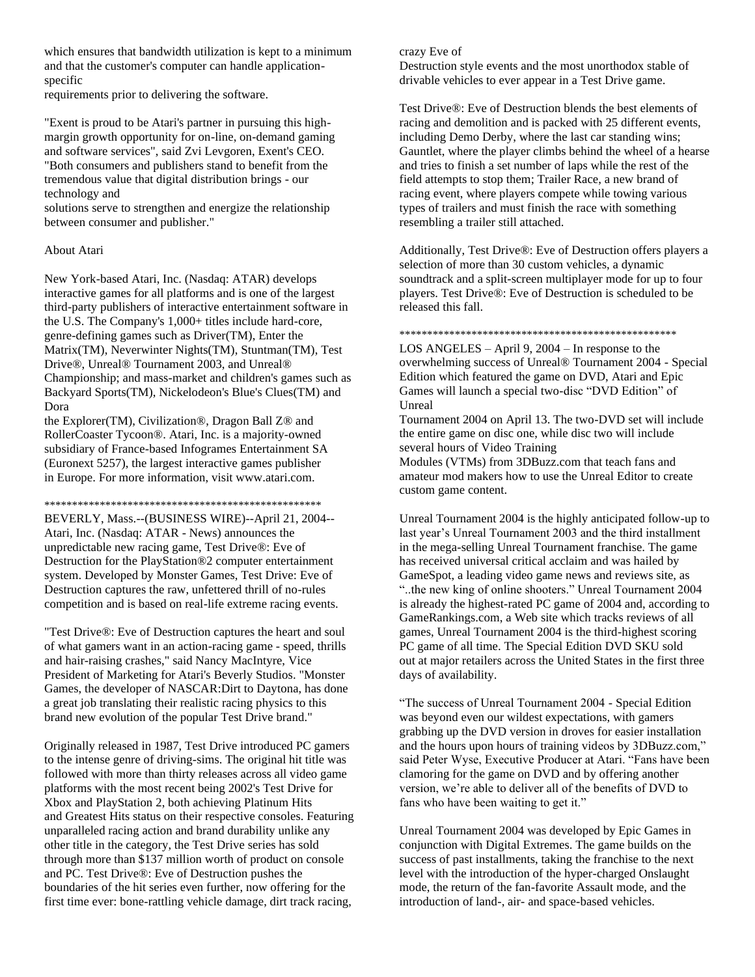which ensures that bandwidth utilization is kept to a minimum and that the customer's computer can handle applicationspecific

requirements prior to delivering the software.

"Exent is proud to be Atari's partner in pursuing this highmargin growth opportunity for on-line, on-demand gaming and software services", said Zvi Levgoren, Exent's CEO. "Both consumers and publishers stand to benefit from the tremendous value that digital distribution brings - our technology and

solutions serve to strengthen and energize the relationship between consumer and publisher."

# About Atari

New York-based Atari, Inc. (Nasdaq: ATAR) develops interactive games for all platforms and is one of the largest third-party publishers of interactive entertainment software in the U.S. The Company's 1,000+ titles include hard-core, genre-defining games such as Driver(TM), Enter the Matrix(TM), Neverwinter Nights(TM), Stuntman(TM), Test Drive®, Unreal® Tournament 2003, and Unreal® Championship; and mass-market and children's games such as Backyard Sports(TM), Nickelodeon's Blue's Clues(TM) and Dora

the Explorer(TM), Civilization®, Dragon Ball Z® and RollerCoaster Tycoon®. Atari, Inc. is a majority-owned subsidiary of France-based Infogrames Entertainment SA (Euronext 5257), the largest interactive games publisher in Europe. For more information, visit www.atari.com.

\*\*\*\*\*\*\*\*\*\*\*\*\*\*\*\*\*\*\*\*\*\*\*\*\*\*\*\*\*\*\*\*\*\*\*\*\*\*\*\*\*\*\*\*\*\*\*\*\*\*

BEVERLY, Mass.--(BUSINESS WIRE)--April 21, 2004-- Atari, Inc. (Nasdaq: ATAR - News) announces the unpredictable new racing game, Test Drive®: Eve of Destruction for the PlayStation®2 computer entertainment system. Developed by Monster Games, Test Drive: Eve of Destruction captures the raw, unfettered thrill of no-rules competition and is based on real-life extreme racing events.

"Test Drive®: Eve of Destruction captures the heart and soul of what gamers want in an action-racing game - speed, thrills and hair-raising crashes," said Nancy MacIntyre, Vice President of Marketing for Atari's Beverly Studios. "Monster Games, the developer of NASCAR:Dirt to Daytona, has done a great job translating their realistic racing physics to this brand new evolution of the popular Test Drive brand."

Originally released in 1987, Test Drive introduced PC gamers to the intense genre of driving-sims. The original hit title was followed with more than thirty releases across all video game platforms with the most recent being 2002's Test Drive for Xbox and PlayStation 2, both achieving Platinum Hits and Greatest Hits status on their respective consoles. Featuring unparalleled racing action and brand durability unlike any other title in the category, the Test Drive series has sold through more than \$137 million worth of product on console and PC. Test Drive®: Eve of Destruction pushes the boundaries of the hit series even further, now offering for the first time ever: bone-rattling vehicle damage, dirt track racing,

# crazy Eve of

Destruction style events and the most unorthodox stable of drivable vehicles to ever appear in a Test Drive game.

Test Drive®: Eve of Destruction blends the best elements of racing and demolition and is packed with 25 different events, including Demo Derby, where the last car standing wins; Gauntlet, where the player climbs behind the wheel of a hearse and tries to finish a set number of laps while the rest of the field attempts to stop them; Trailer Race, a new brand of racing event, where players compete while towing various types of trailers and must finish the race with something resembling a trailer still attached.

Additionally, Test Drive®: Eve of Destruction offers players a selection of more than 30 custom vehicles, a dynamic soundtrack and a split-screen multiplayer mode for up to four players. Test Drive®: Eve of Destruction is scheduled to be released this fall.

## \*\*\*\*\*\*\*\*\*\*\*\*\*\*\*\*\*\*\*\*\*\*\*\*\*\*\*\*\*\*\*\*\*\*\*\*\*\*\*\*\*\*\*\*\*\*\*\*\*\*

LOS ANGELES – April 9, 2004 – In response to the overwhelming success of Unreal® Tournament 2004 - Special Edition which featured the game on DVD, Atari and Epic Games will launch a special two-disc "DVD Edition" of Unreal

Tournament 2004 on April 13. The two-DVD set will include the entire game on disc one, while disc two will include several hours of Video Training

Modules (VTMs) from 3DBuzz.com that teach fans and amateur mod makers how to use the Unreal Editor to create custom game content.

Unreal Tournament 2004 is the highly anticipated follow-up to last year's Unreal Tournament 2003 and the third installment in the mega-selling Unreal Tournament franchise. The game has received universal critical acclaim and was hailed by GameSpot, a leading video game news and reviews site, as "..the new king of online shooters." Unreal Tournament 2004 is already the highest-rated PC game of 2004 and, according to GameRankings.com, a Web site which tracks reviews of all games, Unreal Tournament 2004 is the third-highest scoring PC game of all time. The Special Edition DVD SKU sold out at major retailers across the United States in the first three days of availability.

"The success of Unreal Tournament 2004 - Special Edition was beyond even our wildest expectations, with gamers grabbing up the DVD version in droves for easier installation and the hours upon hours of training videos by 3DBuzz.com," said Peter Wyse, Executive Producer at Atari. "Fans have been clamoring for the game on DVD and by offering another version, we're able to deliver all of the benefits of DVD to fans who have been waiting to get it."

Unreal Tournament 2004 was developed by Epic Games in conjunction with Digital Extremes. The game builds on the success of past installments, taking the franchise to the next level with the introduction of the hyper-charged Onslaught mode, the return of the fan-favorite Assault mode, and the introduction of land-, air- and space-based vehicles.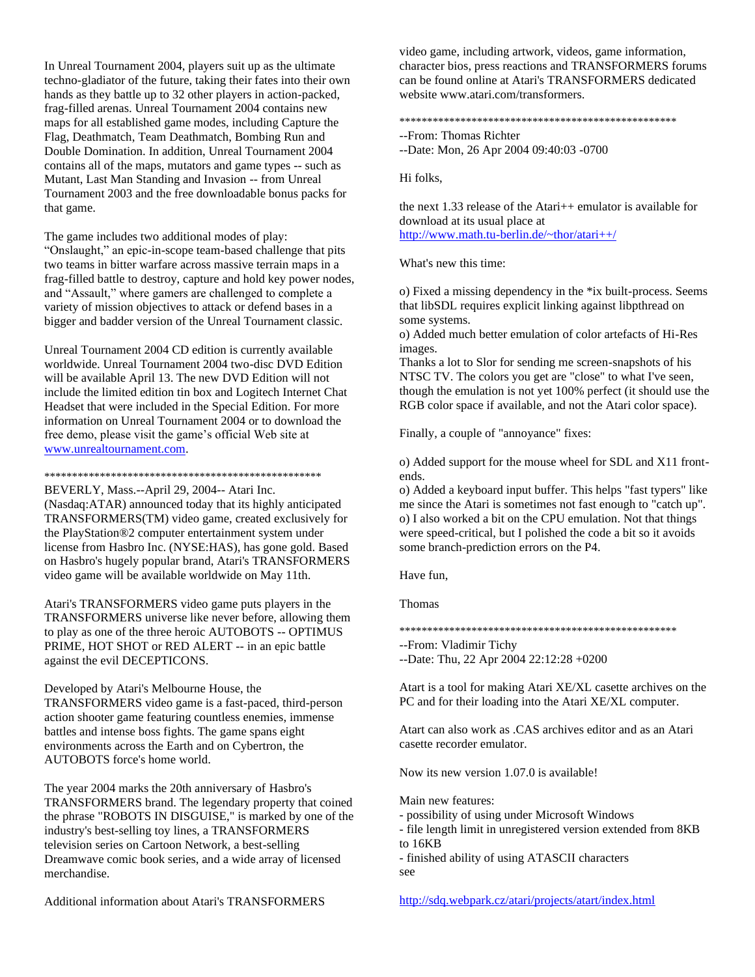In Unreal Tournament 2004, players suit up as the ultimate techno-gladiator of the future, taking their fates into their own hands as they battle up to 32 other players in action-packed, frag-filled arenas. Unreal Tournament 2004 contains new maps for all established game modes, including Capture the Flag, Deathmatch, Team Deathmatch, Bombing Run and Double Domination. In addition, Unreal Tournament 2004 contains all of the maps, mutators and game types -- such as Mutant, Last Man Standing and Invasion -- from Unreal Tournament 2003 and the free downloadable bonus packs for that game.

The game includes two additional modes of play: "Onslaught," an epic-in-scope team-based challenge that pits two teams in bitter warfare across massive terrain maps in a frag-filled battle to destroy, capture and hold key power nodes, and "Assault," where gamers are challenged to complete a variety of mission objectives to attack or defend bases in a bigger and badder version of the Unreal Tournament classic.

Unreal Tournament 2004 CD edition is currently available worldwide. Unreal Tournament 2004 two-disc DVD Edition will be available April 13. The new DVD Edition will not include the limited edition tin box and Logitech Internet Chat Headset that were included in the Special Edition. For more information on Unreal Tournament 2004 or to download the free demo, please visit the game's official Web site at [www.unrealtournament.com.](http://www.unrealtournament.com/)

\*\*\*\*\*\*\*\*\*\*\*\*\*\*\*\*\*\*\*\*\*\*\*\*\*\*\*\*\*\*\*\*\*\*\*\*\*\*\*\*\*\*\*\*\*\*\*\*\*\*

BEVERLY, Mass.--April 29, 2004-- Atari Inc. (Nasdaq:ATAR) announced today that its highly anticipated TRANSFORMERS(TM) video game, created exclusively for the PlayStation®2 computer entertainment system under license from Hasbro Inc. (NYSE:HAS), has gone gold. Based on Hasbro's hugely popular brand, Atari's TRANSFORMERS video game will be available worldwide on May 11th.

Atari's TRANSFORMERS video game puts players in the TRANSFORMERS universe like never before, allowing them to play as one of the three heroic AUTOBOTS -- OPTIMUS PRIME, HOT SHOT or RED ALERT -- in an epic battle against the evil DECEPTICONS.

Developed by Atari's Melbourne House, the TRANSFORMERS video game is a fast-paced, third-person action shooter game featuring countless enemies, immense battles and intense boss fights. The game spans eight environments across the Earth and on Cybertron, the AUTOBOTS force's home world.

The year 2004 marks the 20th anniversary of Hasbro's TRANSFORMERS brand. The legendary property that coined the phrase "ROBOTS IN DISGUISE," is marked by one of the industry's best-selling toy lines, a TRANSFORMERS television series on Cartoon Network, a best-selling Dreamwave comic book series, and a wide array of licensed merchandise.

Additional information about Atari's TRANSFORMERS

video game, including artwork, videos, game information, character bios, press reactions and TRANSFORMERS forums can be found online at Atari's TRANSFORMERS dedicated website www.atari.com/transformers.

\*\*\*\*\*\*\*\*\*\*\*\*\*\*\*\*\*\*\*\*\*\*\*\*\*\*\*\*\*\*\*\*\*\*\*\*\*\*\*\*\*\*\*\*\*\*\*\*\*\*

--From: Thomas Richter

--Date: Mon, 26 Apr 2004 09:40:03 -0700

Hi folks,

the next 1.33 release of the Atari++ emulator is available for download at its usual place at <http://www.math.tu-berlin.de/~thor/atari++/>

What's new this time:

o) Fixed a missing dependency in the \*ix built-process. Seems that libSDL requires explicit linking against libpthread on some systems.

o) Added much better emulation of color artefacts of Hi-Res images.

Thanks a lot to Slor for sending me screen-snapshots of his NTSC TV. The colors you get are "close" to what I've seen, though the emulation is not yet 100% perfect (it should use the RGB color space if available, and not the Atari color space).

Finally, a couple of "annoyance" fixes:

o) Added support for the mouse wheel for SDL and X11 frontends.

o) Added a keyboard input buffer. This helps "fast typers" like me since the Atari is sometimes not fast enough to "catch up". o) I also worked a bit on the CPU emulation. Not that things were speed-critical, but I polished the code a bit so it avoids some branch-prediction errors on the P4.

Have fun,

Thomas

\*\*\*\*\*\*\*\*\*\*\*\*\*\*\*\*\*\*\*\*\*\*\*\*\*\*\*\*\*\*\*\*\*\*\*\*\*\*\*\*\*\*\*\*\*\*\*\*\*\*

--From: Vladimir Tichy

--Date: Thu, 22 Apr 2004 22:12:28 +0200

Atart is a tool for making Atari XE/XL casette archives on the PC and for their loading into the Atari XE/XL computer.

Atart can also work as .CAS archives editor and as an Atari casette recorder emulator.

Now its new version 1.07.0 is available!

Main new features:

- possibility of using under Microsoft Windows
- file length limit in unregistered version extended from 8KB to 16KB

- finished ability of using ATASCII characters see

<http://sdq.webpark.cz/atari/projects/atart/index.html>